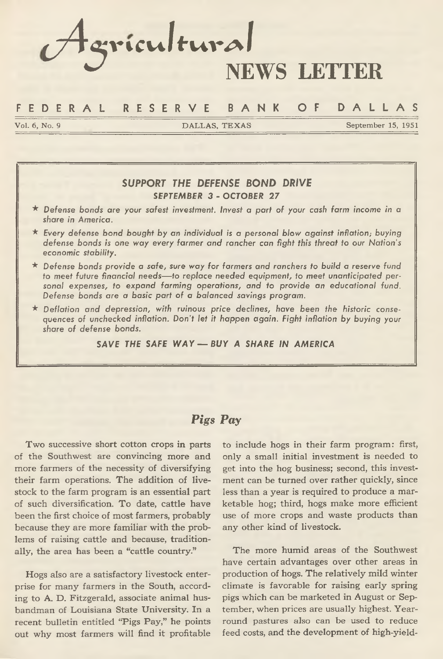# *cA'5***:vi cvi** *<sup>I</sup>* **f'UVA / NEWS LETTER**

#### **F E D E R A L R E S E R V E B A N K OF D A L L A S**

**Vol. 6, No. 9 DALLAS, TEXAS September 15, 1951**

#### *SUPPORT THE DEFENSE BOND DRIVE SEPTEMBER 3 - OCTOBER 27*

- **\*** *Defense bonds are your safest investment. Invest a part of your cash farm income in a share in America.*
- **\*** *Every defense bond bought by an individual is a personal blow against inflation; buying defense bonds is one way every farmer and rancher can fight this threat to our Nation's economic stability.*
- **\*** *Defense bonds provide a safe, sure way for farmers and ranchers to build a reserve fund to meet future financial needs— to replace needed equipment, to* **meet** *unanticipated personal expenses, to expand farming operations, and to provide* **an** *educational fund. Defense bonds are a basic part of a balanced savings program.*
- **\*** *Deflation and depression, with ruinous price declines, have been the historic consequences of unchecked inflation. Don't let it happen again. Fight inflation by buying your share of defense bonds.*

#### *SAVE THE SAFE WAY* — *BUY A SHARE IN AMERICA*

#### *Pigs Pay*

**Two successive short cotton crops in parts of the Southwest are convincing more and more farmers of the necessity of diversifying their farm operations. The addition of livestock to the farm program is an essential part of such diversification. To date, cattle have been the first choice of most farmers, probably because they are more familiar with the problems of raising cattle and because, traditionally, the area has been a "cattle country."**

**Hogs also are a satisfactory livestock enterprise for many farmers in the South, according to A. D. Fitzgerald, associate animal husbandman of Louisiana State University. In a recent bulletin entitled "Pigs Pay," he points out why most farmers will find it profitable**

**to include hogs in their farm program: first, only a small initial investment is needed to get into the hog business; second, this investment can be turned over rather quickly, since less than a year is required to produce a marketable hog; third, hogs make more efficient use of more crops and waste products than any other kind of livestock.**

**The more humid areas of the Southwest have certain advantages over other areas in production of hogs. The relatively mild winter climate is favorable for raising early spring pigs which can be marketed in August or September, when prices are usually highest. Yearround pastures also can be used to reduce feed costs, and the development of high-yield-**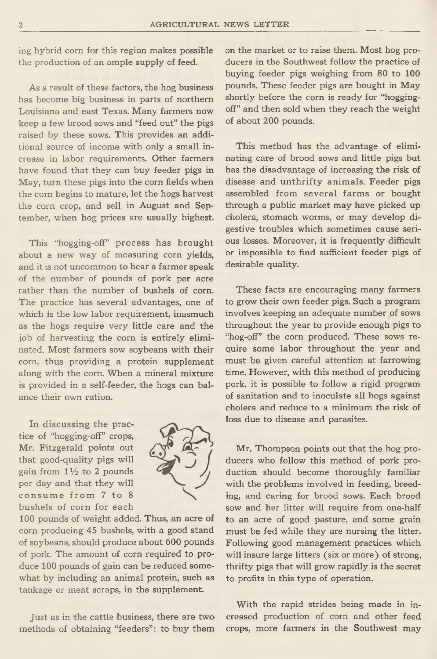**ing hybrid corn for this region makes possible the production of an ample supply of feed.**

**As a result of these factors, the hog business has become big business in parts of northern Louisiana and east Texas. Many farmers now keep a few brood sows and "feed out" the pigs raised by these sows. This provides an additional source of income with only a small increase in labor requirements. Other farmers have found that they can buy feeder pigs in May, turn these pigs into the corn fields when the corn begins to mature, let the hogs harvest the corn crop, and sell in August and September, when hog prices are usually highest.**

**This "hogging-off" process has brought about a new way of measuring corn yields, and it is not uncommon to hear a farmer speak of the number of pounds of pork per acre rather than the number of bushels of corn. The practice has several advantages, one of which is the low labor requirement, inasmuch as the hogs require very little care and the job of harvesting the corn is entirely eliminated. Most farmers sow soybeans with their corn, thus providing a protein supplement along with the corn. When a mineral mixture is provided in a self-feeder, the hogs can balance their own ration.**

**In discussing the practice of "hogging-off" crops, Mr. Fitzgerald points out that good-quality pigs will gain from** *IVz* **to** 2 **pounds per day and that they will** consume from 7 to 8 **bushels of corn for each**



100 pounds of weight added. Thus, an acre of **corn producing 45 bushels, with a good stand of soybeans, should produce about 600 pounds of pork. The amount of corn required to pro**duce 100 pounds of gain can be reduced some**what by including an animal protein, such as tankage or meat scraps, in the supplement.**

**Just as in the cattle business, there are two methods of obtaining "feeders": to buy them**

**on the market or to raise them. Most hog producers in the Southwest follow the practice of** buying feeder pigs weighing from 80 to 100 **pounds. These feeder pigs are bought in May shortly before the corn is ready for "hoggingoff" and then sold when they reach the weight** of about 200 pounds.

**This method has the advantage of eliminating care of brood sows and little pigs but has the disadvantage of increasing the risk of disease and unthrifty animals. Feeder pigs assembled from several farms or bought through a public market may have picked up cholera, stomach worms, or may develop digestive troubles which sometimes cause serious losses. Moreover, it is frequently difficult or impossible to find sufficient feeder pigs of desirable quality.**

**These facts are encouraging many farmers to grow their own feeder pigs. Such a program involves keeping an adequate number of sows throughout the year to provide enough pigs to "hog-off" the corn produced. These sows require some labor throughout the year and must be given careful attention at farrowing time. However, with this method of producing pork, it is possible to follow a rigid program of sanitation and to inoculate all hogs against cholera and reduce to a minimum the risk of loss due to disease and parasites.**

**Mr. Thompson points out that the hog producers who follow this method of pork production should become thoroughly familiar with the problems involved in feeding, breeding, and caring for brood sows. Each brood sow and her litter will require from one-half to an acre of good pasture, and some grain must be fed while they are nursing the litter. Following good management practices which will insure large litters (six or more) of strong, thrifty pigs that will grow rapidly is the secret to profits in this type of operation.**

**With the rapid strides being made in increased production of corn and other feed crops, more farmers in the Southwest may**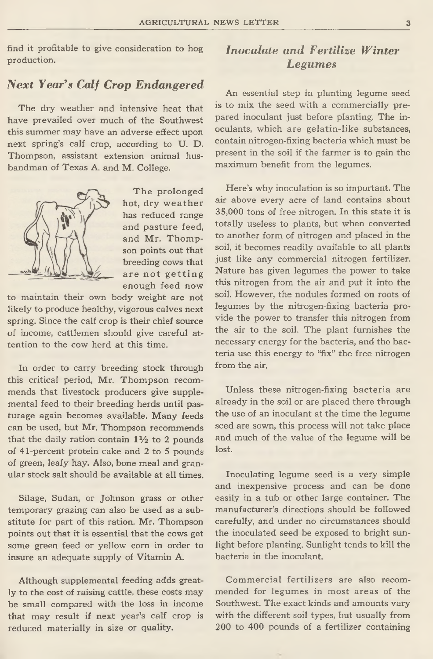**find it profitable to give consideration to hog production.**

## *Next Year's Calf Crop Endangered*

**The dry weather and intensive heat that have prevailed over much of the Southwest this summer may have an adverse effect upon next spring's calf crop, according to U. D. Thompson, assistant extension animal husbandman of Texas A. and M. College.**



**The prolonged** hot, dry weather **has reduced range and pasture feed, and Mr. Thompson points out that breeding cows that** are not getting **enough feed now**

**to maintain their own body weight are not likely to produce healthy, vigorous calves next spring. Since the calf crop is their chief source of income, cattlemen should give careful attention to the cow herd at this time.**

**In order to carry breeding stock through this critical period, Mr. Thompson recommends that livestock producers give supplemental feed to their breeding herds until pasturage again becomes available. Many feeds can be used, but Mr. Thompson recommends that the daily ration contain** 1 *V2* **to** 2 **pounds of 41-percent protein cake and 2 to 5 pounds of green, leafy hay. Also, bone meal and granular stock salt should be available at all times.**

**Silage, Sudan, or Johnson grass or other temporary grazing can also be used as a substitute for part of this ration. Mr. Thompson points out that it is essential that the cows get some green feed or yellow corn in order to insure an adequate supply of Vitamin A.**

**Although supplemental feeding adds greatly to the cost of raising cattle, these costs may be small compared with the loss in income that may result if next year's calf crop is reduced materially in size or quality.**

# *Inoculate and Fertilize Winter Legumes*

**An essential step in planting legume seed is to mix the seed with a commercially prepared inoculant just before planting. The inoculants, which are gelatin-like substances, contain nitrogen-fixing bacteria which must be present in the soil if the farmer is to gain the maximum benefit from the legumes.**

**Here's why inoculation is so important. The air above every acre of land contains about 35,000 tons of free nitrogen. In this state it is totally useless to plants, but when converted to another form of nitrogen and placed in the soil, it becomes readily available to all plants just like any commercial nitrogen fertilizer. Nature has given legumes the power to take this nitrogen from the air and put it into the soil. However, the nodules formed on roots of legumes by the nitrogen-fixing bacteria provide the power to transfer this nitrogen from the air to the soil. The plant furnishes the necessary energy for the bacteria, and the bacteria use this energy to "fix" the free nitrogen from the air.**

**Unless these nitrogen-fixing bacteria are already in the soil or are placed there through the use of an inoculant at the time the legume seed are sown, this process will not take place and much of the value of the legume will be lost.**

**Inoculating legume seed is a very simple and inexpensive process and can be done easily in a tub or other large container. The manufacturer's directions should be followed carefully, and under no circumstances should the inoculated seed be exposed to bright sunlight before planting. Sunlight tends to kill the bacteria in the inoculant.**

**Commercial fertilizers are also recommended for legumes in most areas of the Southwest. The exact kinds and amounts vary with the different soil types, but usually from 200 to 400 pounds of a fertilizer containing**